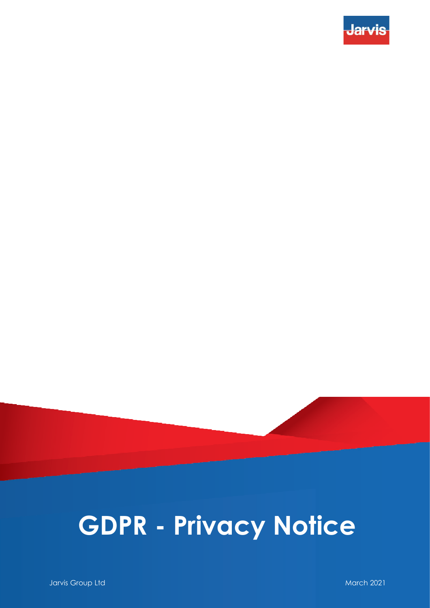

## **GDPR - Privacy Notice**

**Jarvis Group Ltd. And Architecture Community Community Community Community Community Community Community Community**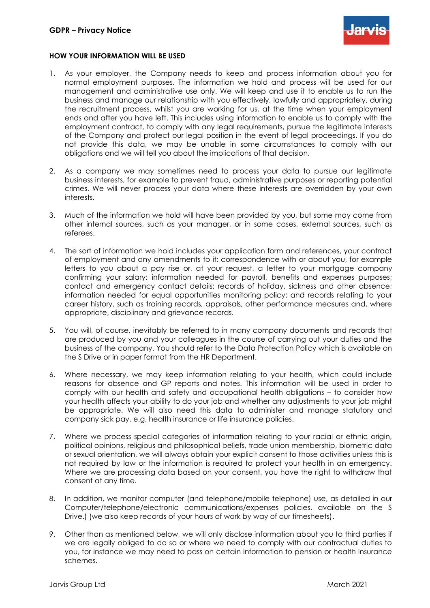

## **HOW YOUR INFORMATION WILL BE USED**

- 1. As your employer, the Company needs to keep and process information about you for normal employment purposes. The information we hold and process will be used for our management and administrative use only. We will keep and use it to enable us to run the business and manage our relationship with you effectively, lawfully and appropriately, during the recruitment process, whilst you are working for us, at the time when your employment ends and after you have left. This includes using information to enable us to comply with the employment contract, to comply with any legal requirements, pursue the legitimate interests of the Company and protect our legal position in the event of legal proceedings. If you do not provide this data, we may be unable in some circumstances to comply with our obligations and we will tell you about the implications of that decision.
- 2. As a company we may sometimes need to process your data to pursue our legitimate business interests, for example to prevent fraud, administrative purposes or reporting potential crimes. We will never process your data where these interests are overridden by your own interests.
- 3. Much of the information we hold will have been provided by you, but some may come from other internal sources, such as your manager, or in some cases, external sources, such as referees.
- 4. The sort of information we hold includes your application form and references, your contract of employment and any amendments to it; correspondence with or about you, for example letters to you about a pay rise or, at your request, a letter to your mortgage company confirming your salary; information needed for payroll, benefits and expenses purposes; contact and emergency contact details; records of holiday, sickness and other absence; information needed for equal opportunities monitoring policy; and records relating to your career history, such as training records, appraisals, other performance measures and, where appropriate, disciplinary and grievance records.
- 5. You will, of course, inevitably be referred to in many company documents and records that are produced by you and your colleagues in the course of carrying out your duties and the business of the company. You should refer to the Data Protection Policy which is available on the S Drive or in paper format from the HR Department.
- 6. Where necessary, we may keep information relating to your health, which could include reasons for absence and GP reports and notes. This information will be used in order to comply with our health and safety and occupational health obligations – to consider how your health affects your ability to do your job and whether any adjustments to your job might be appropriate. We will also need this data to administer and manage statutory and company sick pay, e.g. health insurance or life insurance policies.
- 7. Where we process special categories of information relating to your racial or ethnic origin, political opinions, religious and philosophical beliefs, trade union membership, biometric data or sexual orientation, we will always obtain your explicit consent to those activities unless this is not required by law or the information is required to protect your health in an emergency. Where we are processing data based on your consent, you have the right to withdraw that consent at any time.
- 8. In addition, we monitor computer (and telephone/mobile telephone) use, as detailed in our Computer/telephone/electronic communications/expenses policies, available on the S Drive.) (we also keep records of your hours of work by way of our timesheets).
- 9. Other than as mentioned below, we will only disclose information about you to third parties if we are legally obliged to do so or where we need to comply with our contractual duties to you, for instance we may need to pass on certain information to pension or health insurance schemes.